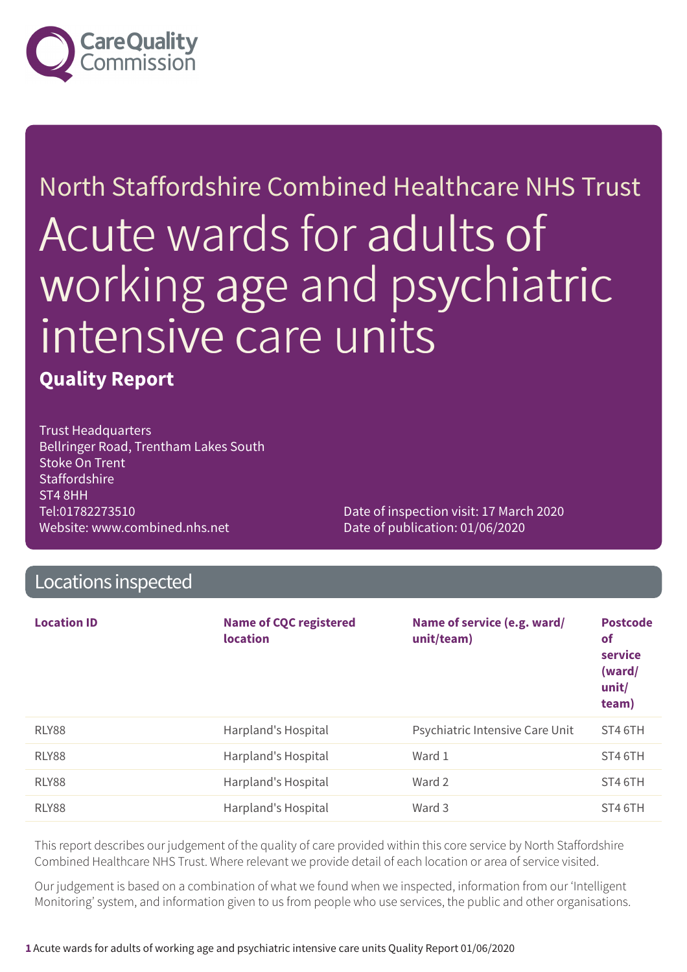

# North Staffordshire Combined Healthcare NHS Trust Acute wards for adults of working age and psychiatric intensive care units

### **Quality Report**

Trust Headquarters Bellringer Road, Trentham Lakes South Stoke On Trent **Staffordshire** ST4 8HH Tel:01782273510 Website: www.combined.nhs.net

Date of inspection visit: 17 March 2020 Date of publication: 01/06/2020

### Locations inspected

| <b>Location ID</b> | <b>Name of CQC registered</b><br><b>location</b> | Name of service (e.g. ward/<br>unit/team) | <b>Postcode</b><br>of<br>service<br>(ward/<br>unit/<br>team) |
|--------------------|--------------------------------------------------|-------------------------------------------|--------------------------------------------------------------|
| RLY88              | Harpland's Hospital                              | Psychiatric Intensive Care Unit           | ST4 6TH                                                      |
| RLY88              | Harpland's Hospital                              | Ward 1                                    | ST4 6TH                                                      |
| RLY88              | Harpland's Hospital                              | Ward 2                                    | ST4 6TH                                                      |
| RLY88              | Harpland's Hospital                              | Ward 3                                    | ST4 6TH                                                      |

This report describes our judgement of the quality of care provided within this core service by North Staffordshire Combined Healthcare NHS Trust. Where relevant we provide detail of each location or area of service visited.

Our judgement is based on a combination of what we found when we inspected, information from our 'Intelligent Monitoring' system, and information given to us from people who use services, the public and other organisations.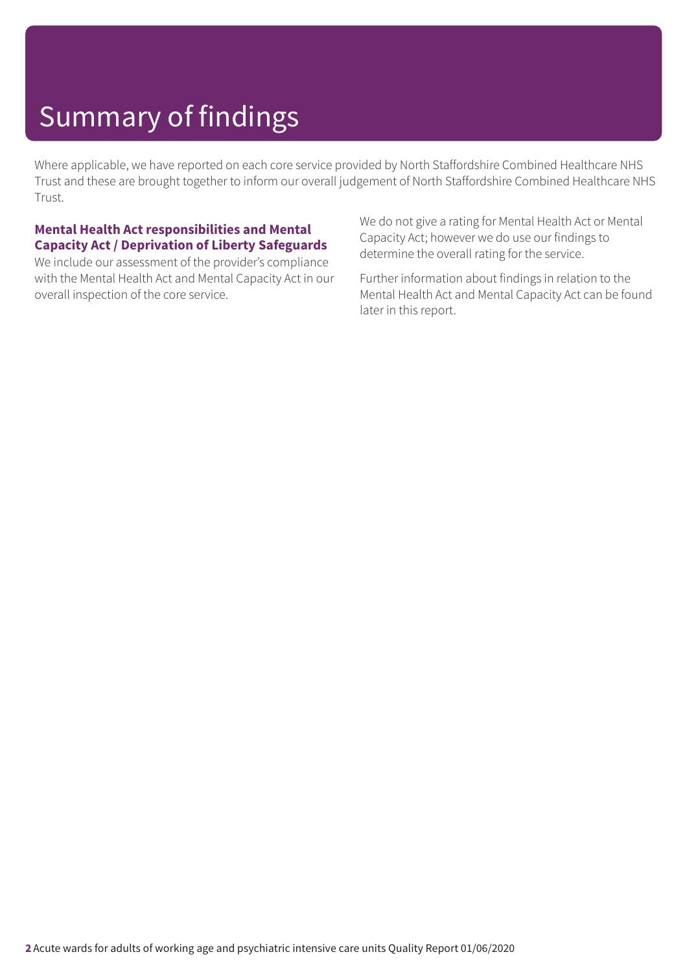Where applicable, we have reported on each core service provided by North Staffordshire Combined Healthcare NHS Trust and these are brought together to inform our overall judgement of North Staffordshire Combined Healthcare NHS Trust.

#### **Mental Health Act responsibilities and Mental Capacity Act / Deprivation of Liberty Safeguards**

We include our assessment of the provider's compliance with the Mental Health Act and Mental Capacity Act in our overall inspection of the core service.

We do not give a rating for Mental Health Act or Mental Capacity Act; however we do use our findings to determine the overall rating for the service.

Further information about findings in relation to the Mental Health Act and Mental Capacity Act can be found later in this report.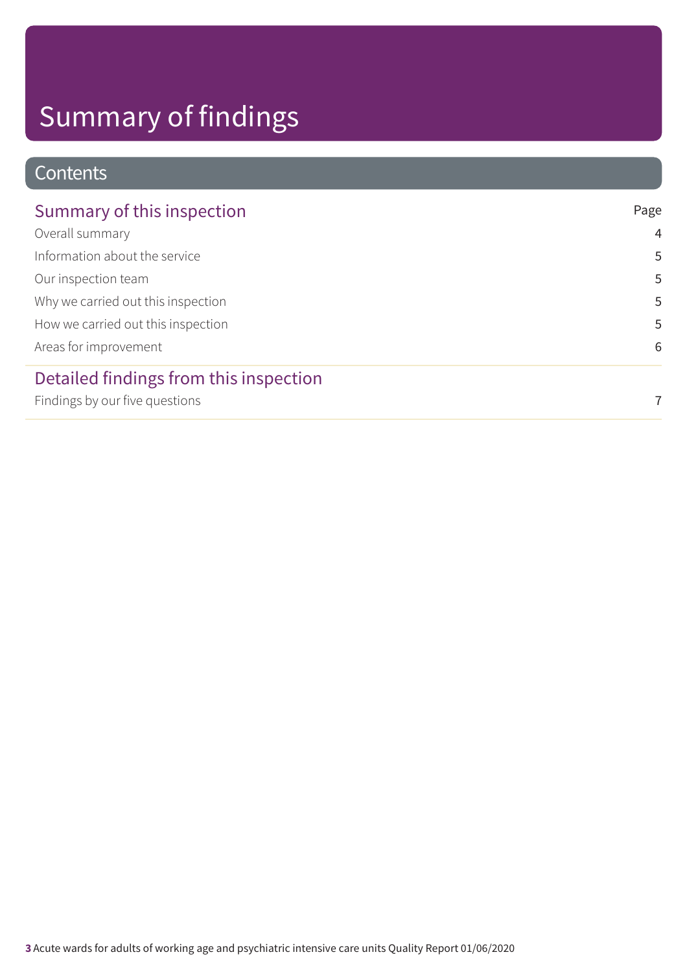### Contents

| Summary of this inspection             | Page           |
|----------------------------------------|----------------|
| Overall summary                        | $\overline{4}$ |
| Information about the service          | 5              |
| Our inspection team                    | 5              |
| Why we carried out this inspection     | 5              |
| How we carried out this inspection     | 5              |
| Areas for improvement                  | 6              |
| Detailed findings from this inspection |                |
| Findings by our five questions         | 7              |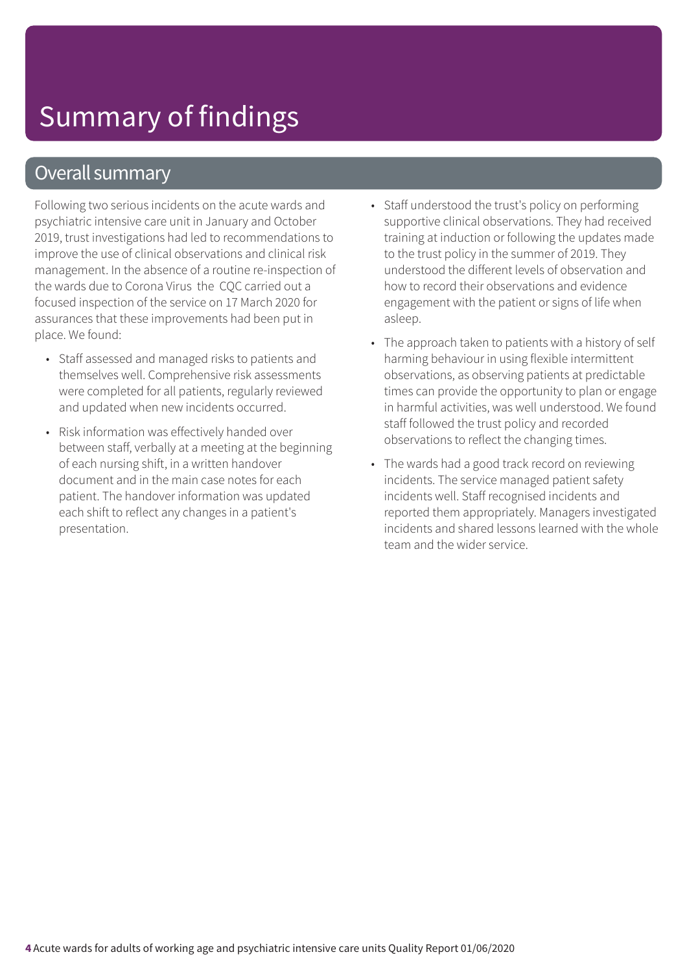### Overall summary

Following two serious incidents on the acute wards and psychiatric intensive care unit in January and October 2019, trust investigations had led to recommendations to improve the use of clinical observations and clinical risk management. In the absence of a routine re-inspection of the wards due to Corona Virus the CQC carried out a focused inspection of the service on 17 March 2020 for assurances that these improvements had been put in place. We found:

- Staff assessed and managed risks to patients and themselves well. Comprehensive risk assessments were completed for all patients, regularly reviewed and updated when new incidents occurred.
- Risk information was effectively handed over between staff, verbally at a meeting at the beginning of each nursing shift, in a written handover document and in the main case notes for each patient. The handover information was updated each shift to reflect any changes in a patient's presentation.
- Staff understood the trust's policy on performing supportive clinical observations. They had received training at induction or following the updates made to the trust policy in the summer of 2019. They understood the different levels of observation and how to record their observations and evidence engagement with the patient or signs of life when asleep.
- The approach taken to patients with a history of self harming behaviour in using flexible intermittent observations, as observing patients at predictable times can provide the opportunity to plan or engage in harmful activities, was well understood. We found staff followed the trust policy and recorded observations to reflect the changing times.
- The wards had a good track record on reviewing incidents. The service managed patient safety incidents well. Staff recognised incidents and reported them appropriately. Managers investigated incidents and shared lessons learned with the whole team and the wider service.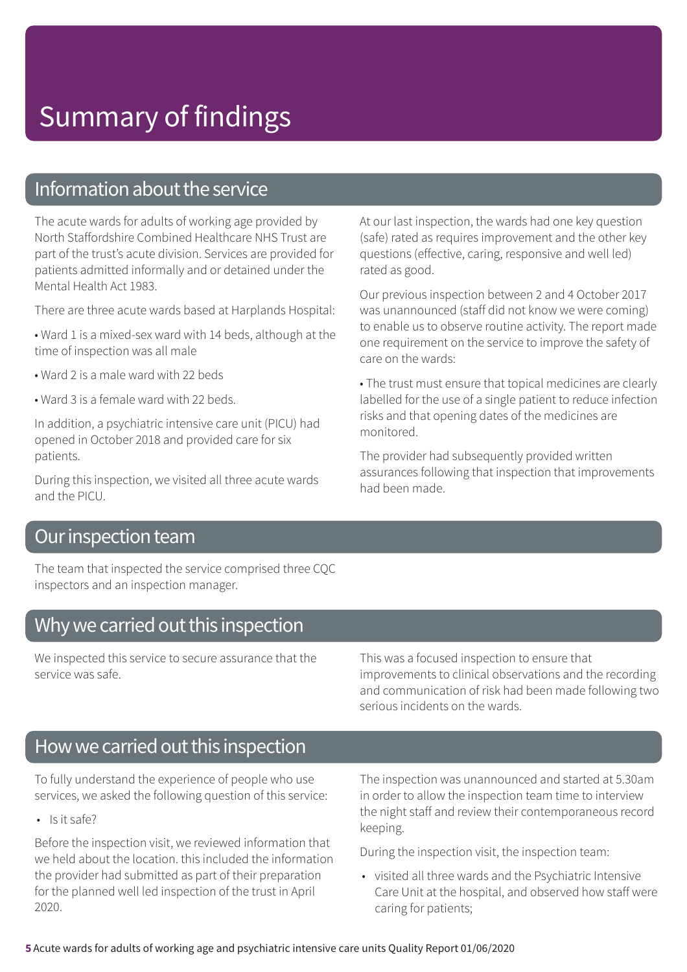### Information about the service

The acute wards for adults of working age provided by North Staffordshire Combined Healthcare NHS Trust are part of the trust's acute division. Services are provided for patients admitted informally and or detained under the Mental Health Act 1983.

There are three acute wards based at Harplands Hospital:

- Ward 1 is a mixed-sex ward with 14 beds, although at the time of inspection was all male
- Ward 2 is a male ward with 22 beds
- Ward 3 is a female ward with 22 beds.

In addition, a psychiatric intensive care unit (PICU) had opened in October 2018 and provided care for six patients.

During this inspection, we visited all three acute wards and the PICU.

At our last inspection, the wards had one key question (safe) rated as requires improvement and the other key questions (effective, caring, responsive and well led) rated as good.

Our previous inspection between 2 and 4 October 2017 was unannounced (staff did not know we were coming) to enable us to observe routine activity. The report made one requirement on the service to improve the safety of care on the wards:

• The trust must ensure that topical medicines are clearly labelled for the use of a single patient to reduce infection risks and that opening dates of the medicines are monitored.

The provider had subsequently provided written assurances following that inspection that improvements had been made.

#### Our inspection team

The team that inspected the service comprised three CQC inspectors and an inspection manager.

#### Why we carried out this inspection

We inspected this service to secure assurance that the service was safe.

This was a focused inspection to ensure that improvements to clinical observations and the recording and communication of risk had been made following two serious incidents on the wards.

### How we carried out this inspection

To fully understand the experience of people who use services, we asked the following question of this service:

• Is it safe?

Before the inspection visit, we reviewed information that we held about the location. this included the information the provider had submitted as part of their preparation for the planned well led inspection of the trust in April 2020.

The inspection was unannounced and started at 5.30am in order to allow the inspection team time to interview the night staff and review their contemporaneous record keeping.

During the inspection visit, the inspection team:

• visited all three wards and the Psychiatric Intensive Care Unit at the hospital, and observed how staff were caring for patients;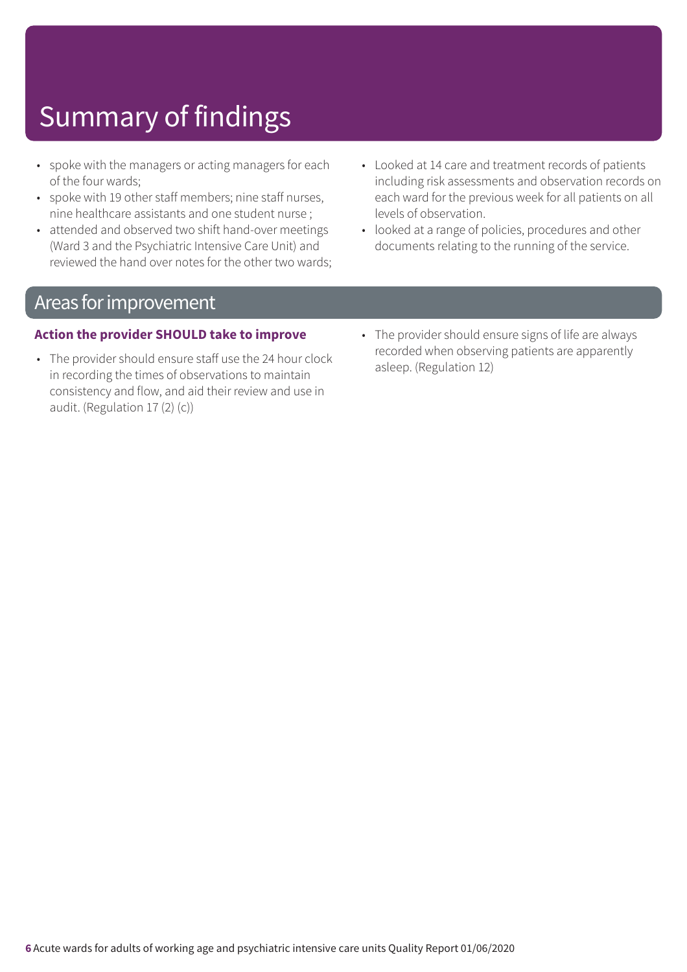- spoke with the managers or acting managers for each of the four wards;
- spoke with 19 other staff members; nine staff nurses, nine healthcare assistants and one student nurse ;
- attended and observed two shift hand-over meetings (Ward 3 and the Psychiatric Intensive Care Unit) and reviewed the hand over notes for the other two wards;
- Looked at 14 care and treatment records of patients including risk assessments and observation records on each ward for the previous week for all patients on all levels of observation.
- looked at a range of policies, procedures and other documents relating to the running of the service.

### Areas forimprovement

#### **Action the provider SHOULD take to improve**

- The provider should ensure staff use the 24 hour clock in recording the times of observations to maintain consistency and flow, and aid their review and use in audit. (Regulation 17 (2) (c))
- The provider should ensure signs of life are always recorded when observing patients are apparently asleep. (Regulation 12)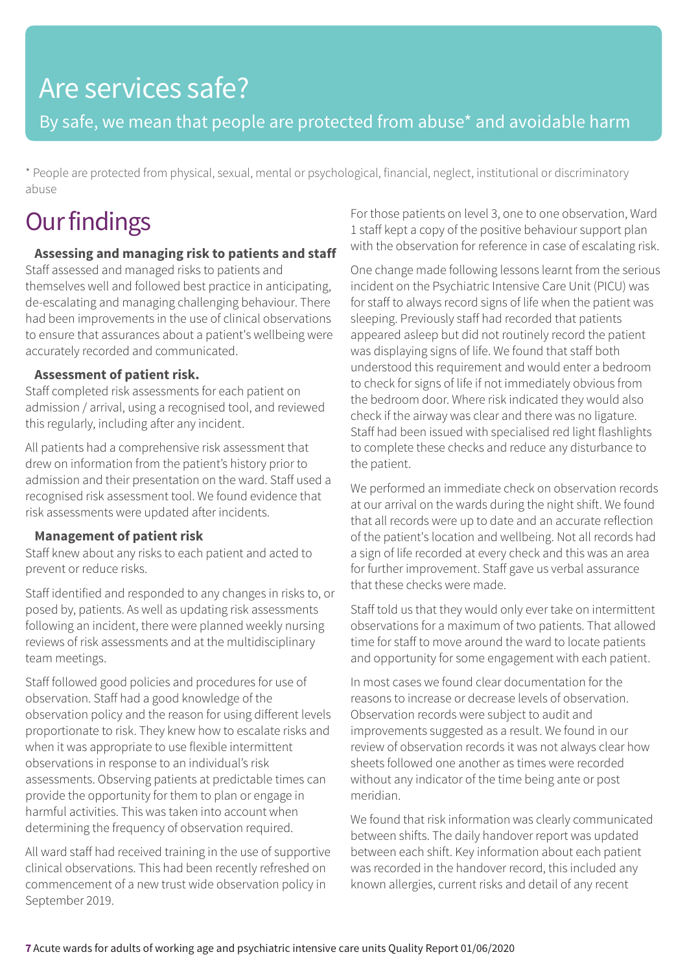## Are services safe?

By safe, we mean that people are protected from abuse\* and avoidable harm

\* People are protected from physical, sexual, mental or psychological, financial, neglect, institutional or discriminatory abuse

## **Our findings**

#### **Assessing and managing risk to patients and staff**

Staff assessed and managed risks to patients and themselves well and followed best practice in anticipating, de-escalating and managing challenging behaviour. There had been improvements in the use of clinical observations to ensure that assurances about a patient's wellbeing were accurately recorded and communicated.

#### **Assessment of patient risk.**

Staff completed risk assessments for each patient on admission / arrival, using a recognised tool, and reviewed this regularly, including after any incident.

All patients had a comprehensive risk assessment that drew on information from the patient's history prior to admission and their presentation on the ward. Staff used a recognised risk assessment tool. We found evidence that risk assessments were updated after incidents.

#### **Management of patient risk**

Staff knew about any risks to each patient and acted to prevent or reduce risks.

Staff identified and responded to any changes in risks to, or posed by, patients. As well as updating risk assessments following an incident, there were planned weekly nursing reviews of risk assessments and at the multidisciplinary team meetings.

Staff followed good policies and procedures for use of observation. Staff had a good knowledge of the observation policy and the reason for using different levels proportionate to risk. They knew how to escalate risks and when it was appropriate to use flexible intermittent observations in response to an individual's risk assessments. Observing patients at predictable times can provide the opportunity for them to plan or engage in harmful activities. This was taken into account when determining the frequency of observation required.

All ward staff had received training in the use of supportive clinical observations. This had been recently refreshed on commencement of a new trust wide observation policy in September 2019.

For those patients on level 3, one to one observation, Ward 1 staff kept a copy of the positive behaviour support plan with the observation for reference in case of escalating risk.

One change made following lessons learnt from the serious incident on the Psychiatric Intensive Care Unit (PICU) was for staff to always record signs of life when the patient was sleeping. Previously staff had recorded that patients appeared asleep but did not routinely record the patient was displaying signs of life. We found that staff both understood this requirement and would enter a bedroom to check for signs of life if not immediately obvious from the bedroom door. Where risk indicated they would also check if the airway was clear and there was no ligature. Staff had been issued with specialised red light flashlights to complete these checks and reduce any disturbance to the patient.

We performed an immediate check on observation records at our arrival on the wards during the night shift. We found that all records were up to date and an accurate reflection of the patient's location and wellbeing. Not all records had a sign of life recorded at every check and this was an area for further improvement. Staff gave us verbal assurance that these checks were made.

Staff told us that they would only ever take on intermittent observations for a maximum of two patients. That allowed time for staff to move around the ward to locate patients and opportunity for some engagement with each patient.

In most cases we found clear documentation for the reasons to increase or decrease levels of observation. Observation records were subject to audit and improvements suggested as a result. We found in our review of observation records it was not always clear how sheets followed one another as times were recorded without any indicator of the time being ante or post meridian.

We found that risk information was clearly communicated between shifts. The daily handover report was updated between each shift. Key information about each patient was recorded in the handover record, this included any known allergies, current risks and detail of any recent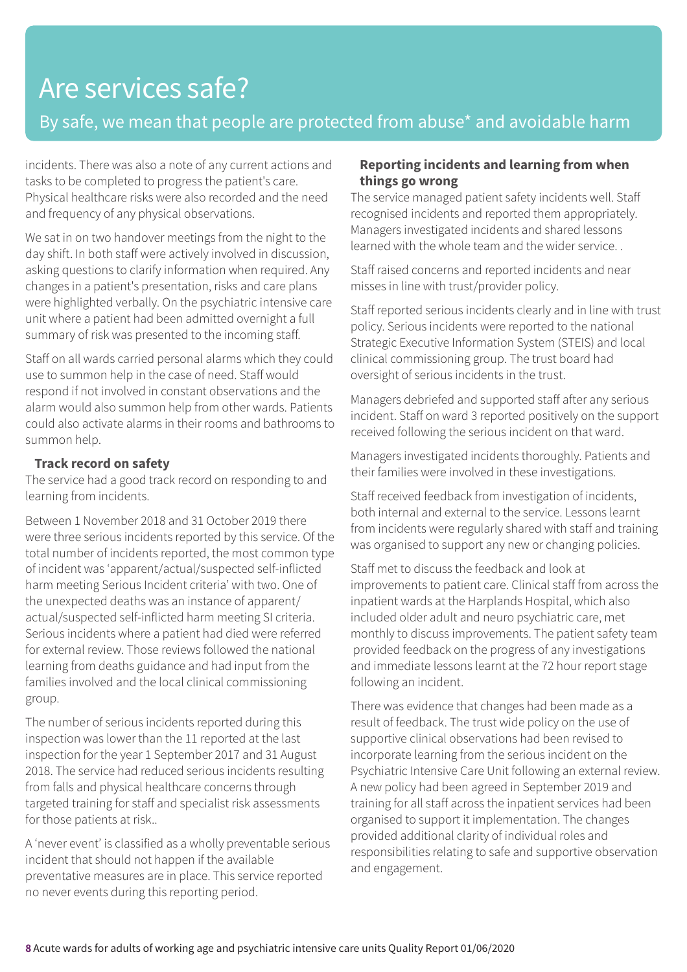### Are services safe?

#### By safe, we mean that people are protected from abuse\* and avoidable harm

incidents. There was also a note of any current actions and tasks to be completed to progress the patient's care. Physical healthcare risks were also recorded and the need and frequency of any physical observations.

We sat in on two handover meetings from the night to the day shift. In both staff were actively involved in discussion, asking questions to clarify information when required. Any changes in a patient's presentation, risks and care plans were highlighted verbally. On the psychiatric intensive care unit where a patient had been admitted overnight a full summary of risk was presented to the incoming staff.

Staff on all wards carried personal alarms which they could use to summon help in the case of need. Staff would respond if not involved in constant observations and the alarm would also summon help from other wards. Patients could also activate alarms in their rooms and bathrooms to summon help.

#### **Track record on safety**

The service had a good track record on responding to and learning from incidents.

Between 1 November 2018 and 31 October 2019 there were three serious incidents reported by this service. Of the total number of incidents reported, the most common type of incident was 'apparent/actual/suspected self-inflicted harm meeting Serious Incident criteria' with two. One of the unexpected deaths was an instance of apparent/ actual/suspected self-inflicted harm meeting SI criteria. Serious incidents where a patient had died were referred for external review. Those reviews followed the national learning from deaths guidance and had input from the families involved and the local clinical commissioning group.

The number of serious incidents reported during this inspection was lower than the 11 reported at the last inspection for the year 1 September 2017 and 31 August 2018. The service had reduced serious incidents resulting from falls and physical healthcare concerns through targeted training for staff and specialist risk assessments for those patients at risk..

A 'never event' is classified as a wholly preventable serious incident that should not happen if the available preventative measures are in place. This service reported no never events during this reporting period.

#### **Reporting incidents and learning from when things go wrong**

The service managed patient safety incidents well. Staff recognised incidents and reported them appropriately. Managers investigated incidents and shared lessons learned with the whole team and the wider service. .

Staff raised concerns and reported incidents and near misses in line with trust/provider policy.

Staff reported serious incidents clearly and in line with trust policy. Serious incidents were reported to the national Strategic Executive Information System (STEIS) and local clinical commissioning group. The trust board had oversight of serious incidents in the trust.

Managers debriefed and supported staff after any serious incident. Staff on ward 3 reported positively on the support received following the serious incident on that ward.

Managers investigated incidents thoroughly. Patients and their families were involved in these investigations.

Staff received feedback from investigation of incidents, both internal and external to the service. Lessons learnt from incidents were regularly shared with staff and training was organised to support any new or changing policies.

Staff met to discuss the feedback and look at improvements to patient care. Clinical staff from across the inpatient wards at the Harplands Hospital, which also included older adult and neuro psychiatric care, met monthly to discuss improvements. The patient safety team provided feedback on the progress of any investigations and immediate lessons learnt at the 72 hour report stage following an incident.

There was evidence that changes had been made as a result of feedback. The trust wide policy on the use of supportive clinical observations had been revised to incorporate learning from the serious incident on the Psychiatric Intensive Care Unit following an external review. A new policy had been agreed in September 2019 and training for all staff across the inpatient services had been organised to support it implementation. The changes provided additional clarity of individual roles and responsibilities relating to safe and supportive observation and engagement.